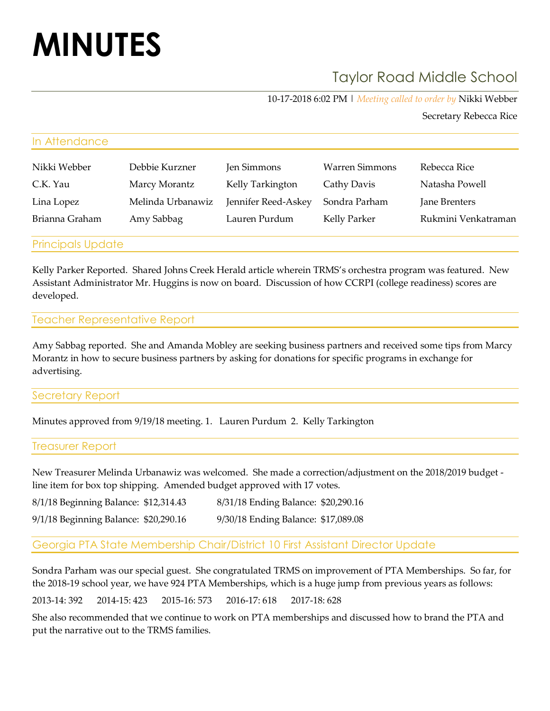# **MINUTES**

## Taylor Road Middle School

10-17-2018 6:02 PM | *Meeting called to order by* Nikki Webber

Secretary Rebecca Rice

| In Attendance  |                   |                     |                       |                     |
|----------------|-------------------|---------------------|-----------------------|---------------------|
| Nikki Webber   | Debbie Kurzner    | Jen Simmons         | <b>Warren Simmons</b> | Rebecca Rice        |
| C.K. Yau       | Marcy Morantz     | Kelly Tarkington    | Cathy Davis           | Natasha Powell      |
| Lina Lopez     | Melinda Urbanawiz | Jennifer Reed-Askey | Sondra Parham         | Jane Brenters       |
| Brianna Graham | Amy Sabbag        | Lauren Purdum       | Kelly Parker          | Rukmini Venkatraman |

Principals Update

Kelly Parker Reported. Shared Johns Creek Herald article wherein TRMS's orchestra program was featured. New Assistant Administrator Mr. Huggins is now on board. Discussion of how CCRPI (college readiness) scores are developed.

#### Teacher Representative Report

Amy Sabbag reported. She and Amanda Mobley are seeking business partners and received some tips from Marcy Morantz in how to secure business partners by asking for donations for specific programs in exchange for advertising.

#### Secretary Report

Minutes approved from 9/19/18 meeting. 1. Lauren Purdum 2. Kelly Tarkington

#### Treasurer Report

New Treasurer Melinda Urbanawiz was welcomed. She made a correction/adjustment on the 2018/2019 budget line item for box top shipping. Amended budget approved with 17 votes.

| 8/1/18 Beginning Balance: \$12,314.43 | 8/31/18 Ending Balance: \$20,290.16 |  |
|---------------------------------------|-------------------------------------|--|
| 9/1/18 Beginning Balance: \$20,290.16 | 9/30/18 Ending Balance: \$17,089.08 |  |

#### Georgia PTA State Membership Chair/District 10 First Assistant Director Update

Sondra Parham was our special guest. She congratulated TRMS on improvement of PTA Memberships. So far, for the 2018-19 school year, we have 924 PTA Memberships, which is a huge jump from previous years as follows:

2013-14: 392 2014-15: 423 2015-16: 573 2016-17: 618 2017-18: 628

She also recommended that we continue to work on PTA memberships and discussed how to brand the PTA and put the narrative out to the TRMS families.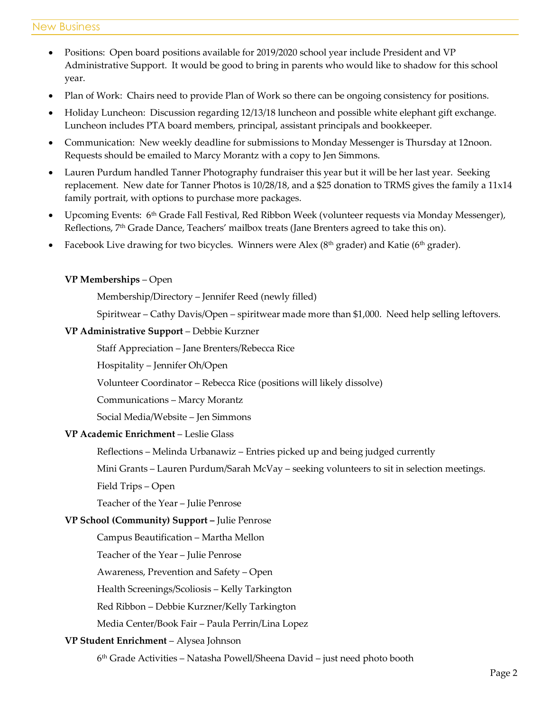- Positions: Open board positions available for 2019/2020 school year include President and VP Administrative Support. It would be good to bring in parents who would like to shadow for this school year.
- Plan of Work: Chairs need to provide Plan of Work so there can be ongoing consistency for positions.
- Holiday Luncheon: Discussion regarding 12/13/18 luncheon and possible white elephant gift exchange. Luncheon includes PTA board members, principal, assistant principals and bookkeeper.
- Communication: New weekly deadline for submissions to Monday Messenger is Thursday at 12noon. Requests should be emailed to Marcy Morantz with a copy to Jen Simmons.
- Lauren Purdum handled Tanner Photography fundraiser this year but it will be her last year. Seeking replacement. New date for Tanner Photos is 10/28/18, and a \$25 donation to TRMS gives the family a 11x14 family portrait, with options to purchase more packages.
- Upcoming Events: 6th Grade Fall Festival, Red Ribbon Week (volunteer requests via Monday Messenger), Reflections, 7th Grade Dance, Teachers' mailbox treats (Jane Brenters agreed to take this on).
- Facebook Live drawing for two bicycles. Winners were Alex ( $8<sup>th</sup>$  grader) and Katie ( $6<sup>th</sup>$  grader).

#### **VP Memberships** – Open

Membership/Directory – Jennifer Reed (newly filled)

Spiritwear – Cathy Davis/Open – spiritwear made more than \$1,000. Need help selling leftovers.

#### **VP Administrative Support** – Debbie Kurzner

Staff Appreciation – Jane Brenters/Rebecca Rice

Hospitality – Jennifer Oh/Open

Volunteer Coordinator – Rebecca Rice (positions will likely dissolve)

Communications – Marcy Morantz

Social Media/Website – Jen Simmons

#### **VP Academic Enrichment** – Leslie Glass

Reflections – Melinda Urbanawiz – Entries picked up and being judged currently

Mini Grants – Lauren Purdum/Sarah McVay – seeking volunteers to sit in selection meetings.

Field Trips – Open

Teacher of the Year – Julie Penrose

#### **VP School (Community) Support –** Julie Penrose

Campus Beautification – Martha Mellon

Teacher of the Year – Julie Penrose

Awareness, Prevention and Safety – Open

Health Screenings/Scoliosis – Kelly Tarkington

Red Ribbon – Debbie Kurzner/Kelly Tarkington

Media Center/Book Fair – Paula Perrin/Lina Lopez

#### **VP Student Enrichment** – Alysea Johnson

6 th Grade Activities – Natasha Powell/Sheena David – just need photo booth